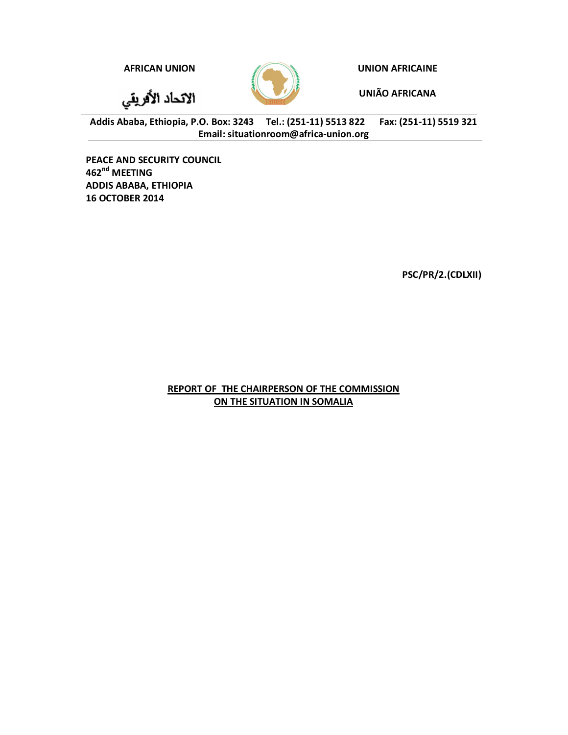**AFRICAN UNION UNION AFRICAINE**

الاتحاد الأفريقي



**UNIÃO AFRICANA**

**Addis Ababa, Ethiopia, P.O. Box: 3243 Tel.: (251-11) 5513 822 Fax: (251-11) 5519 321 Email: situationroom@africa-union.org**

**PEACE AND SECURITY COUNCIL 462nd MEETING ADDIS ABABA, ETHIOPIA 16 OCTOBER 2014**

**PSC/PR/2.(CDLXII)**

**REPORT OF THE CHAIRPERSON OF THE COMMISSION ON THE SITUATION IN SOMALIA**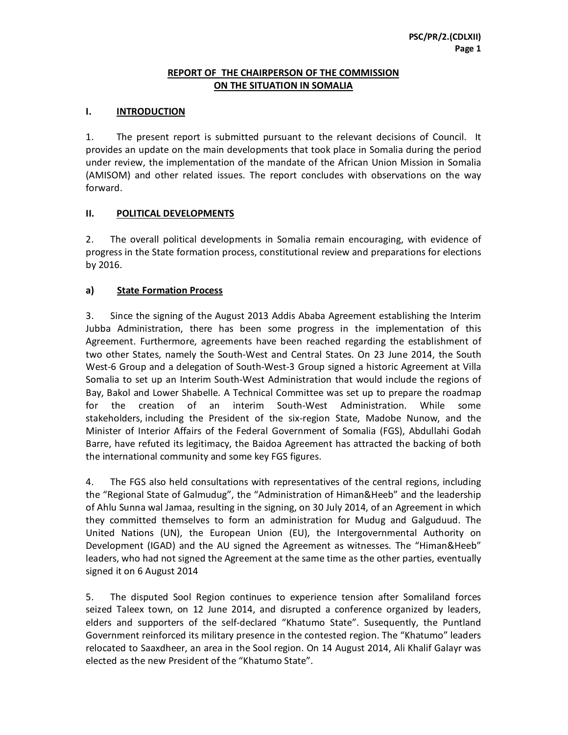#### **REPORT OF THE CHAIRPERSON OF THE COMMISSION ON THE SITUATION IN SOMALIA**

# **I. INTRODUCTION**

1. The present report is submitted pursuant to the relevant decisions of Council. It provides an update on the main developments that took place in Somalia during the period under review, the implementation of the mandate of the African Union Mission in Somalia (AMISOM) and other related issues. The report concludes with observations on the way forward.

# **II. POLITICAL DEVELOPMENTS**

2. The overall political developments in Somalia remain encouraging, with evidence of progress in the State formation process, constitutional review and preparations for elections by 2016.

# **a) State Formation Process**

3. Since the signing of the August 2013 Addis Ababa Agreement establishing the Interim Jubba Administration, there has been some progress in the implementation of this Agreement. Furthermore, agreements have been reached regarding the establishment of two other States, namely the South-West and Central States. On 23 June 2014, the South West-6 Group and a delegation of South-West-3 Group signed a historic Agreement at Villa Somalia to set up an Interim South-West Administration that would include the regions of Bay, Bakol and Lower Shabelle. A Technical Committee was set up to prepare the roadmap for the creation of an interim South-West Administration. While some stakeholders, including the President of the six-region State, Madobe Nunow, and the Minister of Interior Affairs of the Federal Government of Somalia (FGS), Abdullahi Godah Barre, have refuted its legitimacy, the Baidoa Agreement has attracted the backing of both the international community and some key FGS figures.

4. The FGS also held consultations with representatives of the central regions, including the "Regional State of Galmudug", the "Administration of Himan&Heeb" and the leadership of Ahlu Sunna wal Jamaa, resulting in the signing, on 30 July 2014, of an Agreement in which they committed themselves to form an administration for Mudug and Galguduud. The United Nations (UN), the European Union (EU), the Intergovernmental Authority on Development (IGAD) and the AU signed the Agreement as witnesses. The "Himan&Heeb" leaders, who had not signed the Agreement at the same time as the other parties, eventually signed it on 6 August 2014

5. The disputed Sool Region continues to experience tension after Somaliland forces seized Taleex town, on 12 June 2014, and disrupted a conference organized by leaders, elders and supporters of the self-declared "Khatumo State". Susequently, the Puntland Government reinforced its military presence in the contested region. The "Khatumo" leaders relocated to Saaxdheer, an area in the Sool region. On 14 August 2014, Ali Khalif Galayr was elected as the new President of the "Khatumo State".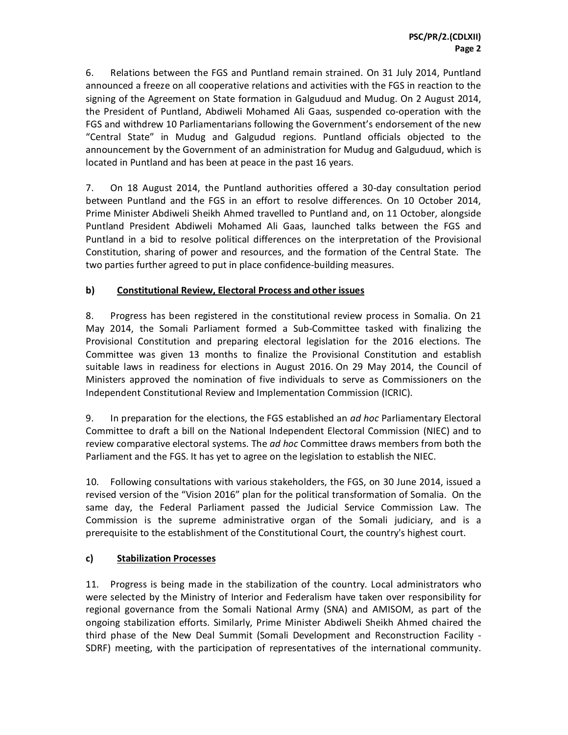6. Relations between the FGS and Puntland remain strained. On 31 July 2014, Puntland announced a freeze on all cooperative relations and activities with the FGS in reaction to the signing of the Agreement on State formation in Galguduud and Mudug. On 2 August 2014, the President of Puntland, Abdiweli Mohamed Ali Gaas, suspended co-operation with the FGS and withdrew 10 Parliamentarians following the Government's endorsement of the new "Central State" in Mudug and Galgudud regions. Puntland officials objected to the announcement by the Government of an administration for Mudug and Galguduud, which is located in Puntland and has been at peace in the past 16 years.

7. On 18 August 2014, the Puntland authorities offered a 30-day consultation period between Puntland and the FGS in an effort to resolve differences. On 10 October 2014, Prime Minister Abdiweli Sheikh Ahmed travelled to Puntland and, on 11 October, alongside Puntland President Abdiweli Mohamed Ali Gaas, launched talks between the FGS and Puntland in a bid to resolve political differences on the interpretation of the Provisional Constitution, sharing of power and resources, and the formation of the Central State. The two parties further agreed to put in place confidence-building measures.

# **b) Constitutional Review, Electoral Process and other issues**

8. Progress has been registered in the constitutional review process in Somalia. On 21 May 2014, the Somali Parliament formed a Sub-Committee tasked with finalizing the Provisional Constitution and preparing electoral legislation for the 2016 elections. The Committee was given 13 months to finalize the Provisional Constitution and establish suitable laws in readiness for elections in August 2016. On 29 May 2014, the Council of Ministers approved the nomination of five individuals to serve as Commissioners on the Independent Constitutional Review and Implementation Commission (ICRIC).

9. In preparation for the elections, the FGS established an *ad hoc* Parliamentary Electoral Committee to draft a bill on the National Independent Electoral Commission (NIEC) and to review comparative electoral systems. The *ad hoc* Committee draws members from both the Parliament and the FGS. It has yet to agree on the legislation to establish the NIEC.

10. Following consultations with various stakeholders, the FGS, on 30 June 2014, issued a revised version of the "Vision 2016" plan for the political transformation of Somalia. On the same day, the Federal Parliament passed the Judicial Service Commission Law. The Commission is the supreme administrative organ of the Somali judiciary, and is a prerequisite to the establishment of the Constitutional Court, the country's highest court.

# **c) Stabilization Processes**

11. Progress is being made in the stabilization of the country. Local administrators who were selected by the Ministry of Interior and Federalism have taken over responsibility for regional governance from the Somali National Army (SNA) and AMISOM, as part of the ongoing stabilization efforts. Similarly, Prime Minister Abdiweli Sheikh Ahmed chaired the third phase of the New Deal Summit (Somali Development and Reconstruction Facility - SDRF) meeting, with the participation of representatives of the international community.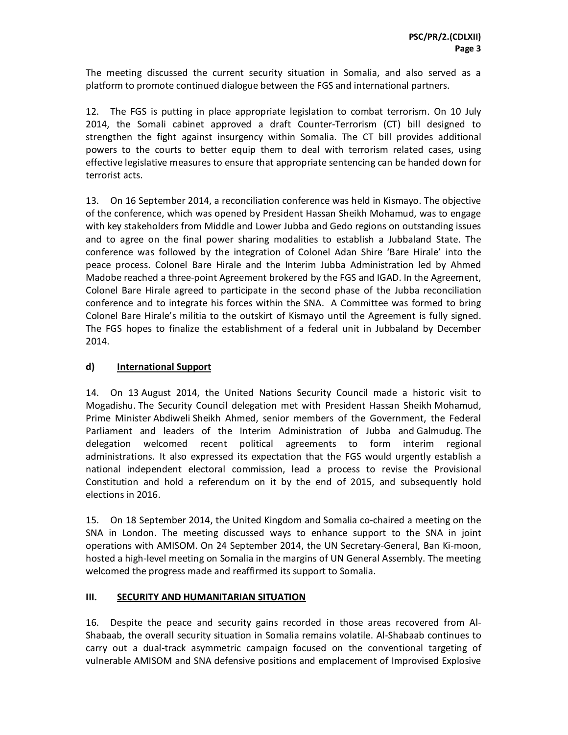The meeting discussed the current security situation in Somalia, and also served as a platform to promote continued dialogue between the FGS and international partners.

12. The FGS is putting in place appropriate legislation to combat terrorism. On 10 July 2014, the Somali cabinet approved a draft Counter-Terrorism (CT) bill designed to strengthen the fight against insurgency within Somalia. The CT bill provides additional powers to the courts to better equip them to deal with terrorism related cases, using effective legislative measures to ensure that appropriate sentencing can be handed down for terrorist acts.

13. On 16 September 2014, a reconciliation conference was held in Kismayo. The objective of the conference, which was opened by President Hassan Sheikh Mohamud, was to engage with key stakeholders from Middle and Lower Jubba and Gedo regions on outstanding issues and to agree on the final power sharing modalities to establish a Jubbaland State. The conference was followed by the integration of Colonel Adan Shire 'Bare Hirale' into the peace process. Colonel Bare Hirale and the Interim Jubba Administration led by Ahmed Madobe reached a three-point Agreement brokered by the FGS and IGAD. In the Agreement, Colonel Bare Hirale agreed to participate in the second phase of the Jubba reconciliation conference and to integrate his forces within the SNA. A Committee was formed to bring Colonel Bare Hirale's militia to the outskirt of Kismayo until the Agreement is fully signed. The FGS hopes to finalize the establishment of a federal unit in Jubbaland by December 2014.

# **d) International Support**

14. On 13 August 2014, the United Nations Security Council made a historic visit to Mogadishu. The Security Council delegation met with President Hassan Sheikh Mohamud, Prime Minister Abdiweli Sheikh Ahmed, senior members of the Government, the Federal Parliament and leaders of the Interim Administration of Jubba and Galmudug. The delegation welcomed recent political agreements to form interim regional administrations. It also expressed its expectation that the FGS would urgently establish a national independent electoral commission, lead a process to revise the Provisional Constitution and hold a referendum on it by the end of 2015, and subsequently hold elections in 2016.

15. On 18 September 2014, the United Kingdom and Somalia co-chaired a meeting on the SNA in London. The meeting discussed ways to enhance support to the SNA in joint operations with AMISOM. On 24 September 2014, the UN Secretary-General, Ban Ki-moon, hosted a high-level meeting on Somalia in the margins of UN General Assembly. The meeting welcomed the progress made and reaffirmed its support to Somalia.

# **III. SECURITY AND HUMANITARIAN SITUATION**

16. Despite the peace and security gains recorded in those areas recovered from Al-Shabaab, the overall security situation in Somalia remains volatile. Al-Shabaab continues to carry out a dual-track asymmetric campaign focused on the conventional targeting of vulnerable AMISOM and SNA defensive positions and emplacement of Improvised Explosive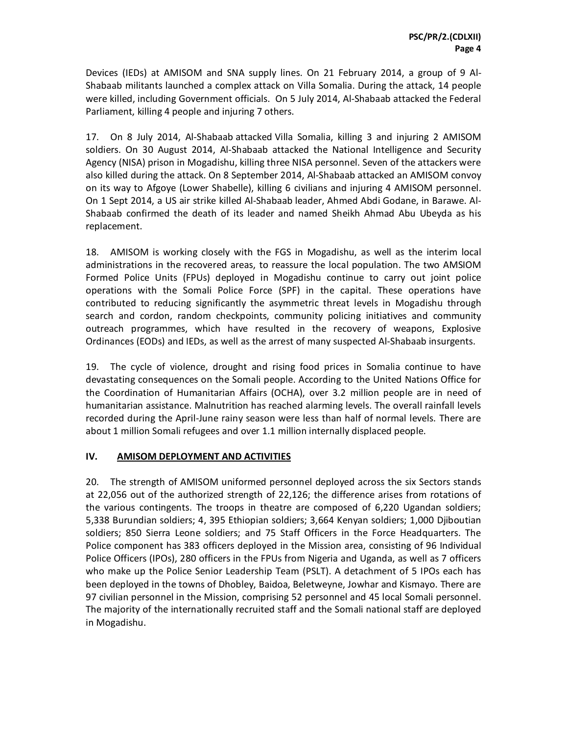Devices (IEDs) at AMISOM and SNA supply lines. On 21 February 2014, a group of 9 Al-Shabaab militants launched a complex attack on Villa Somalia. During the attack, 14 people were killed, including Government officials. On 5 July 2014, Al-Shabaab attacked the Federal Parliament, killing 4 people and injuring 7 others.

17. On 8 July 2014, Al-Shabaab attacked Villa Somalia, killing 3 and injuring 2 AMISOM soldiers. On 30 August 2014, Al-Shabaab attacked the National Intelligence and Security Agency (NISA) prison in Mogadishu, killing three NISA personnel. Seven of the attackers were also killed during the attack. On 8 September 2014, Al-Shabaab attacked an AMISOM convoy on its way to Afgoye (Lower Shabelle), killing 6 civilians and injuring 4 AMISOM personnel. On 1 Sept 2014, a US air strike killed Al-Shabaab leader, Ahmed Abdi Godane, in Barawe. Al-Shabaab confirmed the death of its leader and named Sheikh Ahmad Abu Ubeyda as his replacement.

18. AMISOM is working closely with the FGS in Mogadishu, as well as the interim local administrations in the recovered areas, to reassure the local population. The two AMSIOM Formed Police Units (FPUs) deployed in Mogadishu continue to carry out joint police operations with the Somali Police Force (SPF) in the capital. These operations have contributed to reducing significantly the asymmetric threat levels in Mogadishu through search and cordon, random checkpoints, community policing initiatives and community outreach programmes, which have resulted in the recovery of weapons, Explosive Ordinances (EODs) and IEDs, as well as the arrest of many suspected Al-Shabaab insurgents.

19. The cycle of violence, drought and rising food prices in Somalia continue to have devastating consequences on the Somali people. According to the United Nations Office for the Coordination of Humanitarian Affairs (OCHA), over 3.2 million people are in need of humanitarian assistance. Malnutrition has reached alarming levels. The overall rainfall levels recorded during the April-June rainy season were less than half of normal levels. There are about 1 million Somali refugees and over 1.1 million internally displaced people.

# **IV. AMISOM DEPLOYMENT AND ACTIVITIES**

20. The strength of AMISOM uniformed personnel deployed across the six Sectors stands at 22,056 out of the authorized strength of 22,126; the difference arises from rotations of the various contingents. The troops in theatre are composed of 6,220 Ugandan soldiers; 5,338 Burundian soldiers; 4, 395 Ethiopian soldiers; 3,664 Kenyan soldiers; 1,000 Djiboutian soldiers; 850 Sierra Leone soldiers; and 75 Staff Officers in the Force Headquarters. The Police component has 383 officers deployed in the Mission area, consisting of 96 Individual Police Officers (IPOs), 280 officers in the FPUs from Nigeria and Uganda, as well as 7 officers who make up the Police Senior Leadership Team (PSLT). A detachment of 5 IPOs each has been deployed in the towns of Dhobley, Baidoa, Beletweyne, Jowhar and Kismayo. There are 97 civilian personnel in the Mission, comprising 52 personnel and 45 local Somali personnel. The majority of the internationally recruited staff and the Somali national staff are deployed in Mogadishu.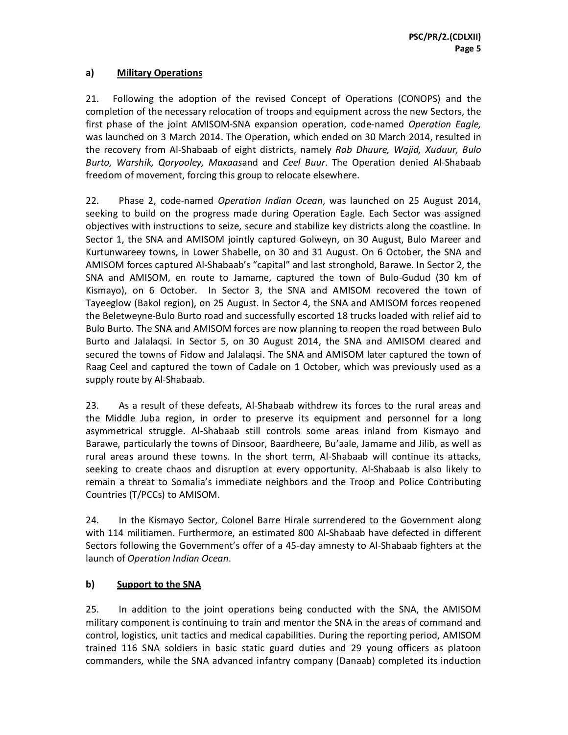#### **a) Military Operations**

21. Following the adoption of the revised Concept of Operations (CONOPS) and the completion of the necessary relocation of troops and equipment across the new Sectors, the first phase of the joint AMISOM-SNA expansion operation, code-named *Operation Eagle,* was launched on 3 March 2014. The Operation, which ended on 30 March 2014, resulted in the recovery from Al-Shabaab of eight districts, namely *Rab Dhuure, Wajid, Xuduur, Bulo Burto, Warshik, Qoryooley, Maxaas*and and *Ceel Buur*. The Operation denied Al-Shabaab freedom of movement, forcing this group to relocate elsewhere.

22. Phase 2, code-named *Operation Indian Ocean*, was launched on 25 August 2014, seeking to build on the progress made during Operation Eagle. Each Sector was assigned objectives with instructions to seize, secure and stabilize key districts along the coastline. In Sector 1, the SNA and AMISOM jointly captured Golweyn, on 30 August, Bulo Mareer and Kurtunwareey towns, in Lower Shabelle, on 30 and 31 August. On 6 October, the SNA and AMISOM forces captured Al-Shabaab's "capital" and last stronghold, Barawe. In Sector 2, the SNA and AMISOM, en route to Jamame, captured the town of Bulo-Gudud (30 km of Kismayo), on 6 October. In Sector 3, the SNA and AMISOM recovered the town of Tayeeglow (Bakol region), on 25 August. In Sector 4, the SNA and AMISOM forces reopened the Beletweyne-Bulo Burto road and successfully escorted 18 trucks loaded with relief aid to Bulo Burto. The SNA and AMISOM forces are now planning to reopen the road between Bulo Burto and Jalalaqsi. In Sector 5, on 30 August 2014, the SNA and AMISOM cleared and secured the towns of Fidow and Jalalaqsi. The SNA and AMISOM later captured the town of Raag Ceel and captured the town of Cadale on 1 October, which was previously used as a supply route by Al-Shabaab.

23. As a result of these defeats, Al-Shabaab withdrew its forces to the rural areas and the Middle Juba region, in order to preserve its equipment and personnel for a long asymmetrical struggle. Al-Shabaab still controls some areas inland from Kismayo and Barawe, particularly the towns of Dinsoor, Baardheere, Bu'aale, Jamame and Jilib, as well as rural areas around these towns. In the short term, Al-Shabaab will continue its attacks, seeking to create chaos and disruption at every opportunity. Al-Shabaab is also likely to remain a threat to Somalia's immediate neighbors and the Troop and Police Contributing Countries (T/PCCs) to AMISOM.

24. In the Kismayo Sector, Colonel Barre Hirale surrendered to the Government along with 114 militiamen. Furthermore, an estimated 800 Al-Shabaab have defected in different Sectors following the Government's offer of a 45-day amnesty to Al-Shabaab fighters at the launch of *Operation Indian Ocean*.

# **b) Support to the SNA**

25. In addition to the joint operations being conducted with the SNA, the AMISOM military component is continuing to train and mentor the SNA in the areas of command and control, logistics, unit tactics and medical capabilities. During the reporting period, AMISOM trained 116 SNA soldiers in basic static guard duties and 29 young officers as platoon commanders, while the SNA advanced infantry company (Danaab) completed its induction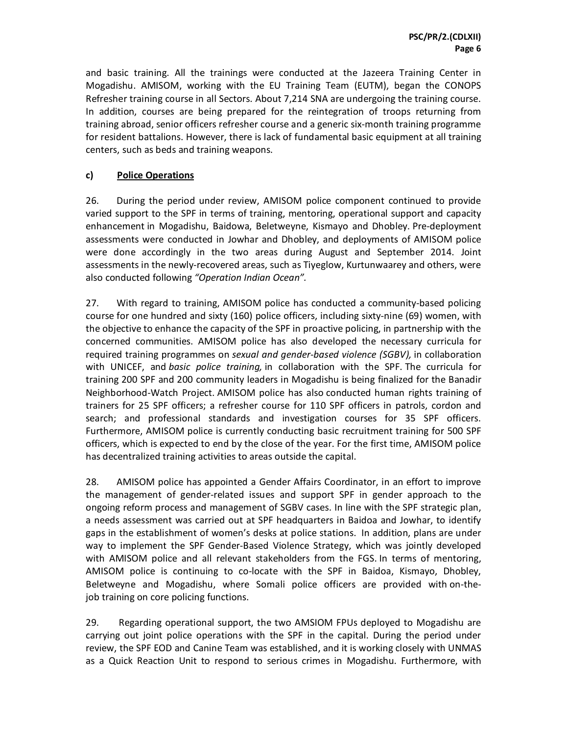and basic training. All the trainings were conducted at the Jazeera Training Center in Mogadishu. AMISOM, working with the EU Training Team (EUTM), began the CONOPS Refresher training course in all Sectors. About 7,214 SNA are undergoing the training course. In addition, courses are being prepared for the reintegration of troops returning from training abroad, senior officers refresher course and a generic six-month training programme for resident battalions. However, there is lack of fundamental basic equipment at all training centers, such as beds and training weapons.

# **c) Police Operations**

26. During the period under review, AMISOM police component continued to provide varied support to the SPF in terms of training, mentoring, operational support and capacity enhancement in Mogadishu, Baidowa, Beletweyne, Kismayo and Dhobley. Pre-deployment assessments were conducted in Jowhar and Dhobley, and deployments of AMISOM police were done accordingly in the two areas during August and September 2014. Joint assessments in the newly-recovered areas, such as Tiyeglow, Kurtunwaarey and others, were also conducted following *"Operation Indian Ocean".*

27. With regard to training, AMISOM police has conducted a community-based policing course for one hundred and sixty (160) police officers, including sixty-nine (69) women, with the objective to enhance the capacity of the SPF in proactive policing, in partnership with the concerned communities. AMISOM police has also developed the necessary curricula for required training programmes on *sexual and gender-based violence (SGBV),* in collaboration with UNICEF, and *basic police training,* in collaboration with the SPF. The curricula for training 200 SPF and 200 community leaders in Mogadishu is being finalized for the Banadir Neighborhood-Watch Project. AMISOM police has also conducted human rights training of trainers for 25 SPF officers; a refresher course for 110 SPF officers in patrols, cordon and search; and professional standards and investigation courses for 35 SPF officers. Furthermore, AMISOM police is currently conducting basic recruitment training for 500 SPF officers, which is expected to end by the close of the year. For the first time, AMISOM police has decentralized training activities to areas outside the capital.

28. AMISOM police has appointed a Gender Affairs Coordinator, in an effort to improve the management of gender-related issues and support SPF in gender approach to the ongoing reform process and management of SGBV cases. In line with the SPF strategic plan, a needs assessment was carried out at SPF headquarters in Baidoa and Jowhar, to identify gaps in the establishment of women's desks at police stations. In addition, plans are under way to implement the SPF Gender-Based Violence Strategy, which was jointly developed with AMISOM police and all relevant stakeholders from the FGS. In terms of mentoring, AMISOM police is continuing to co-locate with the SPF in Baidoa, Kismayo, Dhobley, Beletweyne and Mogadishu, where Somali police officers are provided with on-thejob training on core policing functions.

29. Regarding operational support, the two AMSIOM FPUs deployed to Mogadishu are carrying out joint police operations with the SPF in the capital. During the period under review, the SPF EOD and Canine Team was established, and it is working closely with UNMAS as a Quick Reaction Unit to respond to serious crimes in Mogadishu. Furthermore, with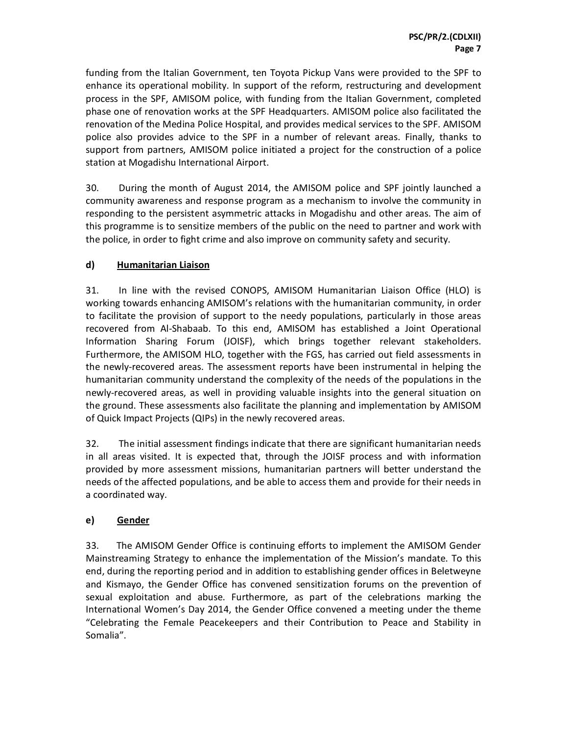funding from the Italian Government, ten Toyota Pickup Vans were provided to the SPF to enhance its operational mobility. In support of the reform, restructuring and development process in the SPF, AMISOM police, with funding from the Italian Government, completed phase one of renovation works at the SPF Headquarters. AMISOM police also facilitated the renovation of the Medina Police Hospital, and provides medical services to the SPF. AMISOM police also provides advice to the SPF in a number of relevant areas. Finally, thanks to support from partners, AMISOM police initiated a project for the construction of a police station at Mogadishu International Airport.

30. During the month of August 2014, the AMISOM police and SPF jointly launched a community awareness and response program as a mechanism to involve the community in responding to the persistent asymmetric attacks in Mogadishu and other areas. The aim of this programme is to sensitize members of the public on the need to partner and work with the police, in order to fight crime and also improve on community safety and security.

# **d) Humanitarian Liaison**

31. In line with the revised CONOPS, AMISOM Humanitarian Liaison Office (HLO) is working towards enhancing AMISOM's relations with the humanitarian community, in order to facilitate the provision of support to the needy populations, particularly in those areas recovered from Al-Shabaab. To this end, AMISOM has established a Joint Operational Information Sharing Forum (JOISF), which brings together relevant stakeholders. Furthermore, the AMISOM HLO, together with the FGS, has carried out field assessments in the newly-recovered areas. The assessment reports have been instrumental in helping the humanitarian community understand the complexity of the needs of the populations in the newly-recovered areas, as well in providing valuable insights into the general situation on the ground. These assessments also facilitate the planning and implementation by AMISOM of Quick Impact Projects (QIPs) in the newly recovered areas.

32. The initial assessment findings indicate that there are significant humanitarian needs in all areas visited. It is expected that, through the JOISF process and with information provided by more assessment missions, humanitarian partners will better understand the needs of the affected populations, and be able to access them and provide for their needs in a coordinated way.

# **e) Gender**

33. The AMISOM Gender Office is continuing efforts to implement the AMISOM Gender Mainstreaming Strategy to enhance the implementation of the Mission's mandate. To this end, during the reporting period and in addition to establishing gender offices in Beletweyne and Kismayo, the Gender Office has convened sensitization forums on the prevention of sexual exploitation and abuse. Furthermore, as part of the celebrations marking the International Women's Day 2014, the Gender Office convened a meeting under the theme "Celebrating the Female Peacekeepers and their Contribution to Peace and Stability in Somalia".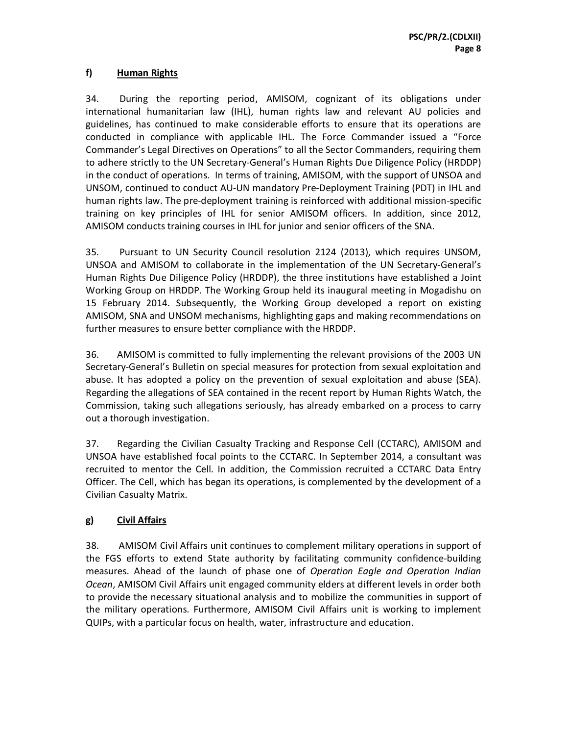# **f) Human Rights**

34. During the reporting period, AMISOM, cognizant of its obligations under international humanitarian law (IHL), human rights law and relevant AU policies and guidelines, has continued to make considerable efforts to ensure that its operations are conducted in compliance with applicable IHL. The Force Commander issued a "Force Commander's Legal Directives on Operations" to all the Sector Commanders, requiring them to adhere strictly to the UN Secretary-General's Human Rights Due Diligence Policy (HRDDP) in the conduct of operations. In terms of training, AMISOM, with the support of UNSOA and UNSOM, continued to conduct AU-UN mandatory Pre-Deployment Training (PDT) in IHL and human rights law. The pre-deployment training is reinforced with additional mission-specific training on key principles of IHL for senior AMISOM officers. In addition, since 2012, AMISOM conducts training courses in IHL for junior and senior officers of the SNA.

35. Pursuant to UN Security Council resolution 2124 (2013), which requires UNSOM, UNSOA and AMISOM to collaborate in the implementation of the UN Secretary-General's Human Rights Due Diligence Policy (HRDDP), the three institutions have established a Joint Working Group on HRDDP. The Working Group held its inaugural meeting in Mogadishu on 15 February 2014. Subsequently, the Working Group developed a report on existing AMISOM, SNA and UNSOM mechanisms, highlighting gaps and making recommendations on further measures to ensure better compliance with the HRDDP.

36. AMISOM is committed to fully implementing the relevant provisions of the 2003 UN Secretary-General's Bulletin on special measures for protection from sexual exploitation and abuse. It has adopted a policy on the prevention of sexual exploitation and abuse (SEA). Regarding the allegations of SEA contained in the recent report by Human Rights Watch, the Commission, taking such allegations seriously, has already embarked on a process to carry out a thorough investigation.

37. Regarding the Civilian Casualty Tracking and Response Cell (CCTARC), AMISOM and UNSOA have established focal points to the CCTARC. In September 2014, a consultant was recruited to mentor the Cell. In addition, the Commission recruited a CCTARC Data Entry Officer. The Cell, which has began its operations, is complemented by the development of a Civilian Casualty Matrix.

# **g) Civil Affairs**

38. AMISOM Civil Affairs unit continues to complement military operations in support of the FGS efforts to extend State authority by facilitating community confidence-building measures. Ahead of the launch of phase one of *Operation Eagle and Operation Indian Ocean*, AMISOM Civil Affairs unit engaged community elders at different levels in order both to provide the necessary situational analysis and to mobilize the communities in support of the military operations. Furthermore, AMISOM Civil Affairs unit is working to implement QUIPs, with a particular focus on health, water, infrastructure and education.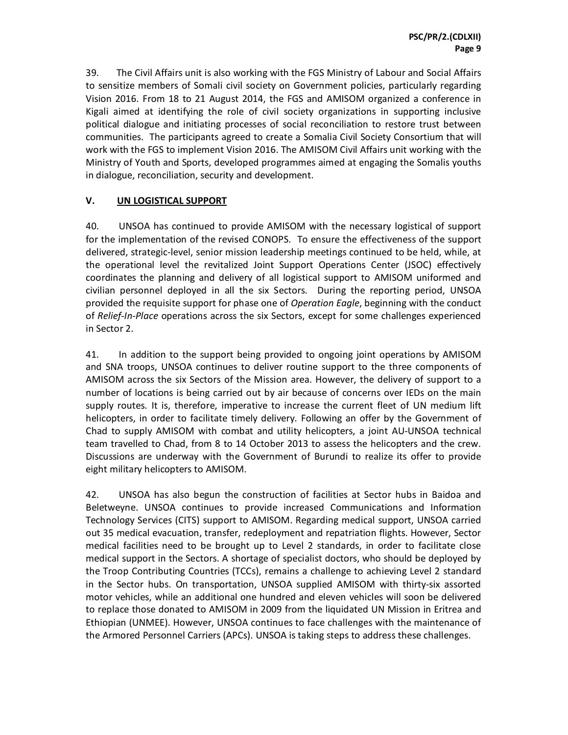39. The Civil Affairs unit is also working with the FGS Ministry of Labour and Social Affairs to sensitize members of Somali civil society on Government policies, particularly regarding Vision 2016. From 18 to 21 August 2014, the FGS and AMISOM organized a conference in Kigali aimed at identifying the role of civil society organizations in supporting inclusive political dialogue and initiating processes of social reconciliation to restore trust between communities. The participants agreed to create a Somalia Civil Society Consortium that will work with the FGS to implement Vision 2016. The AMISOM Civil Affairs unit working with the Ministry of Youth and Sports, developed programmes aimed at engaging the Somalis youths in dialogue, reconciliation, security and development.

#### **V. UN LOGISTICAL SUPPORT**

40. UNSOA has continued to provide AMISOM with the necessary logistical of support for the implementation of the revised CONOPS. To ensure the effectiveness of the support delivered, strategic-level, senior mission leadership meetings continued to be held, while, at the operational level the revitalized Joint Support Operations Center (JSOC) effectively coordinates the planning and delivery of all logistical support to AMISOM uniformed and civilian personnel deployed in all the six Sectors. During the reporting period, UNSOA provided the requisite support for phase one of *Operation Eagle*, beginning with the conduct of *Relief-In-Place* operations across the six Sectors, except for some challenges experienced in Sector 2.

41. In addition to the support being provided to ongoing joint operations by AMISOM and SNA troops, UNSOA continues to deliver routine support to the three components of AMISOM across the six Sectors of the Mission area. However, the delivery of support to a number of locations is being carried out by air because of concerns over IEDs on the main supply routes. It is, therefore, imperative to increase the current fleet of UN medium lift helicopters, in order to facilitate timely delivery. Following an offer by the Government of Chad to supply AMISOM with combat and utility helicopters, a joint AU-UNSOA technical team travelled to Chad, from 8 to 14 October 2013 to assess the helicopters and the crew. Discussions are underway with the Government of Burundi to realize its offer to provide eight military helicopters to AMISOM.

42. UNSOA has also begun the construction of facilities at Sector hubs in Baidoa and Beletweyne. UNSOA continues to provide increased Communications and Information Technology Services (CITS) support to AMISOM. Regarding medical support, UNSOA carried out 35 medical evacuation, transfer, redeployment and repatriation flights. However, Sector medical facilities need to be brought up to Level 2 standards, in order to facilitate close medical support in the Sectors. A shortage of specialist doctors, who should be deployed by the Troop Contributing Countries (TCCs), remains a challenge to achieving Level 2 standard in the Sector hubs. On transportation, UNSOA supplied AMISOM with thirty-six assorted motor vehicles, while an additional one hundred and eleven vehicles will soon be delivered to replace those donated to AMISOM in 2009 from the liquidated UN Mission in Eritrea and Ethiopian (UNMEE). However, UNSOA continues to face challenges with the maintenance of the Armored Personnel Carriers (APCs). UNSOA is taking steps to address these challenges.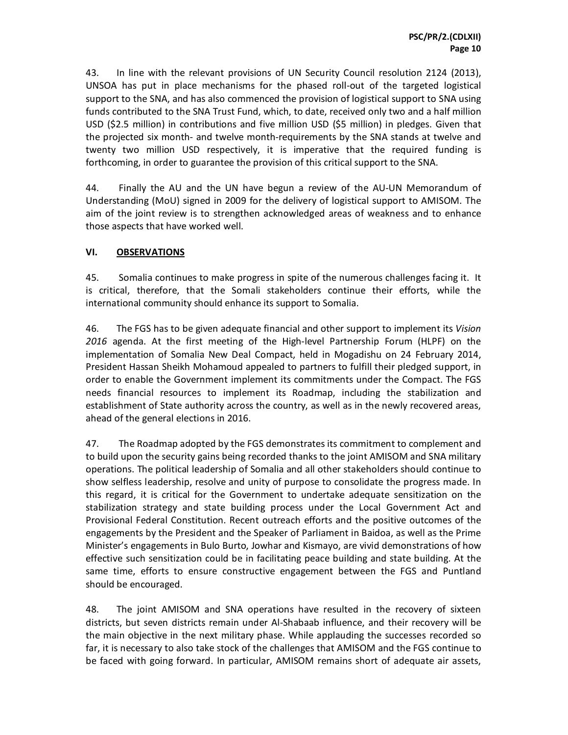43. In line with the relevant provisions of UN Security Council resolution 2124 (2013), UNSOA has put in place mechanisms for the phased roll-out of the targeted logistical support to the SNA, and has also commenced the provision of logistical support to SNA using funds contributed to the SNA Trust Fund, which, to date, received only two and a half million USD (\$2.5 million) in contributions and five million USD (\$5 million) in pledges. Given that the projected six month- and twelve month-requirements by the SNA stands at twelve and twenty two million USD respectively, it is imperative that the required funding is forthcoming, in order to guarantee the provision of this critical support to the SNA.

44. Finally the AU and the UN have begun a review of the AU-UN Memorandum of Understanding (MoU) signed in 2009 for the delivery of logistical support to AMISOM. The aim of the joint review is to strengthen acknowledged areas of weakness and to enhance those aspects that have worked well.

#### **VI. OBSERVATIONS**

45. Somalia continues to make progress in spite of the numerous challenges facing it. It is critical, therefore, that the Somali stakeholders continue their efforts, while the international community should enhance its support to Somalia.

46. The FGS has to be given adequate financial and other support to implement its *Vision 2016* agenda. At the first meeting of the High-level Partnership Forum (HLPF) on the implementation of Somalia New Deal Compact, held in Mogadishu on 24 February 2014, President Hassan Sheikh Mohamoud appealed to partners to fulfill their pledged support, in order to enable the Government implement its commitments under the Compact. The FGS needs financial resources to implement its Roadmap, including the stabilization and establishment of State authority across the country, as well as in the newly recovered areas, ahead of the general elections in 2016.

47. The Roadmap adopted by the FGS demonstrates its commitment to complement and to build upon the security gains being recorded thanks to the joint AMISOM and SNA military operations. The political leadership of Somalia and all other stakeholders should continue to show selfless leadership, resolve and unity of purpose to consolidate the progress made. In this regard, it is critical for the Government to undertake adequate sensitization on the stabilization strategy and state building process under the Local Government Act and Provisional Federal Constitution. Recent outreach efforts and the positive outcomes of the engagements by the President and the Speaker of Parliament in Baidoa, as well as the Prime Minister's engagements in Bulo Burto, Jowhar and Kismayo, are vivid demonstrations of how effective such sensitization could be in facilitating peace building and state building. At the same time, efforts to ensure constructive engagement between the FGS and Puntland should be encouraged.

48. The joint AMISOM and SNA operations have resulted in the recovery of sixteen districts, but seven districts remain under Al-Shabaab influence, and their recovery will be the main objective in the next military phase. While applauding the successes recorded so far, it is necessary to also take stock of the challenges that AMISOM and the FGS continue to be faced with going forward. In particular, AMISOM remains short of adequate air assets,